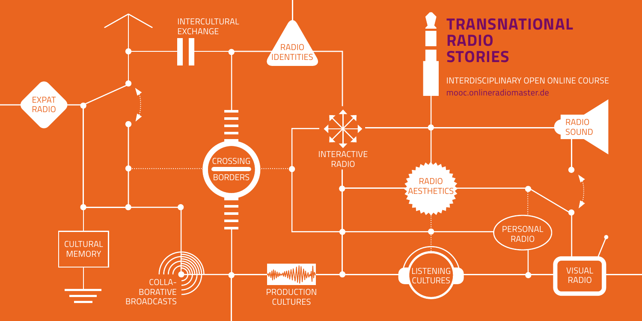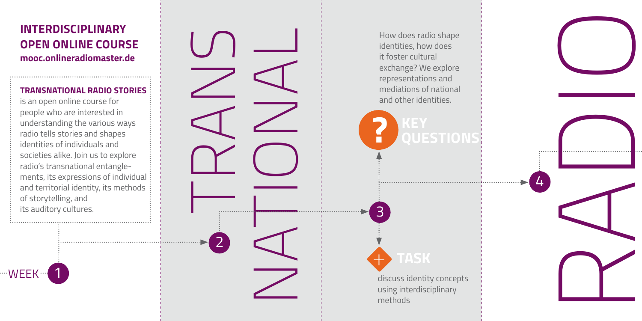## **INTERDISCIPLINARY OPEN ONLINE COURSE mooc.onlineradiomaster.de**

## **TRANSNATIONAL RADIO STORIES**

is an open online course for people who are interested in understanding the various ways radio tells stories and shapes identities of individuals and societies alike. Join us to explore radio's transnational entanglements, its expressions of individual and territorial identity, its methods of storytelling, and its auditory cultures.

1

"WEEK"

TRANS NATIONAL 2

How does radio shape identities, how does it foster cultural exchange? We explore representations and mediations of national and other identities.

# **? KEY QUESTIONS**

4

RADIO

![](_page_1_Picture_6.jpeg)

3

discuss identity concepts using interdisciplinary methods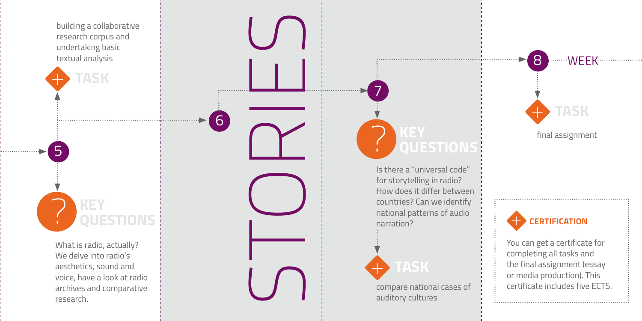![](_page_2_Picture_0.jpeg)

6

............

What is radio, actually? We delve into radio's aesthetics, sound and voice, have a look at radio archives and comparative research.

## ? **KEY UESTIONS**

STORIES IS there a "universal code"<br>
Is there a "universal code"<br>
for storytelling in radio?<br>
How does it differ between<br>
countries? Can we identify<br>
natration?<br>
TASK<br>
compare national cases of<br>
auditory cultures for storytelling in radio? How does it differ between countries? Can we identify national patterns of audio narration?

![](_page_2_Picture_4.jpeg)

7

compare national cases of

final assignment

+ **TASK**

....... *WEEK* .................

8

![](_page_2_Picture_7.jpeg)

You can get a certificate for completing all tasks and the final assignment (essay or media production). This **CERTIFICATION**<br>You can get a certificate for<br>completing all tasks and<br>the final assignment (essay<br>or media production). This<br>certificate includes five ECTS.